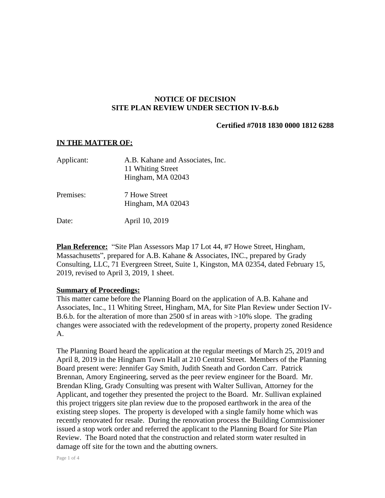## **NOTICE OF DECISION SITE PLAN REVIEW UNDER SECTION IV-B.6.b**

## **Certified #7018 1830 0000 1812 6288**

#### **IN THE MATTER OF:**

| Applicant: | A.B. Kahane and Associates, Inc.<br>11 Whiting Street<br>Hingham, MA 02043 |
|------------|----------------------------------------------------------------------------|
| Premises:  | 7 Howe Street<br>Hingham, MA 02043                                         |
| Date:      | April 10, 2019                                                             |

**Plan Reference:** "Site Plan Assessors Map 17 Lot 44, #7 Howe Street, Hingham, Massachusetts", prepared for A.B. Kahane & Associates, INC., prepared by Grady Consulting, LLC, 71 Evergreen Street, Suite 1, Kingston, MA 02354, dated February 15, 2019, revised to April 3, 2019, 1 sheet.

## **Summary of Proceedings:**

This matter came before the Planning Board on the application of A.B. Kahane and Associates, Inc., 11 Whiting Street, Hingham, MA, for Site Plan Review under Section IV-B.6.b. for the alteration of more than 2500 sf in areas with >10% slope. The grading changes were associated with the redevelopment of the property, property zoned Residence A.

The Planning Board heard the application at the regular meetings of March 25, 2019 and April 8, 2019 in the Hingham Town Hall at 210 Central Street. Members of the Planning Board present were: Jennifer Gay Smith, Judith Sneath and Gordon Carr. Patrick Brennan, Amory Engineering, served as the peer review engineer for the Board. Mr. Brendan Kling, Grady Consulting was present with Walter Sullivan, Attorney for the Applicant, and together they presented the project to the Board. Mr. Sullivan explained this project triggers site plan review due to the proposed earthwork in the area of the existing steep slopes. The property is developed with a single family home which was recently renovated for resale. During the renovation process the Building Commissioner issued a stop work order and referred the applicant to the Planning Board for Site Plan Review. The Board noted that the construction and related storm water resulted in damage off site for the town and the abutting owners.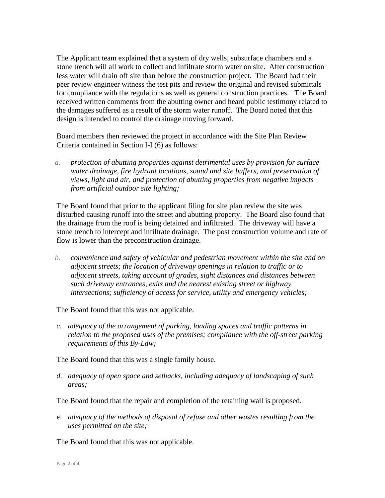The Applicant team explained that a system of dry wells, subsurface chambers and a stone trench will all work to collect and infiltrate storm water on site. After construction less water will drain off site than before the construction project. The Board had their peer review engineer witness the test pits and review the original and revised submittals for compliance with the regulations as well as general construction practices. The Board received written comments from the abutting owner and heard public testimony related to the damages suffered as a result of the storm water runoff. The Board noted that this design is intended to control the drainage moving forward.

Board members then reviewed the project in accordance with the Site Plan Review Criteria contained in Section I-I (6) as follows:

*a. protection of abutting properties against detrimental uses by provision for surface water drainage, fire hydrant locations, sound and site buffers, and preservation of views, light and air, and protection of abutting properties from negative impacts from artificial outdoor site lighting;*

The Board found that prior to the applicant filing for site plan review the site was disturbed causing runoff into the street and abutting property. The Board also found that the drainage from the roof is being detained and infiltrated. The driveway will have a stone trench to intercept and infiltrate drainage. The post construction volume and rate of flow is lower than the preconstruction drainage.

*b. convenience and safety of vehicular and pedestrian movement within the site and on adjacent streets; the location of driveway openings in relation to traffic or to adjacent streets, taking account of grades, sight distances and distances between such driveway entrances, exits and the nearest existing street or highway intersections; sufficiency of access for service, utility and emergency vehicles;*

The Board found that this was not applicable.

*c. adequacy of the arrangement of parking, loading spaces and traffic patterns in relation to the proposed uses of the premises; compliance with the off-street parking requirements of this By-Law;*

The Board found that this was a single family house.

*d. adequacy of open space and setbacks, including adequacy of landscaping of such areas;*

The Board found that the repair and completion of the retaining wall is proposed.

e. *adequacy of the methods of disposal of refuse and other wastes resulting from the uses permitted on the site;*

The Board found that this was not applicable.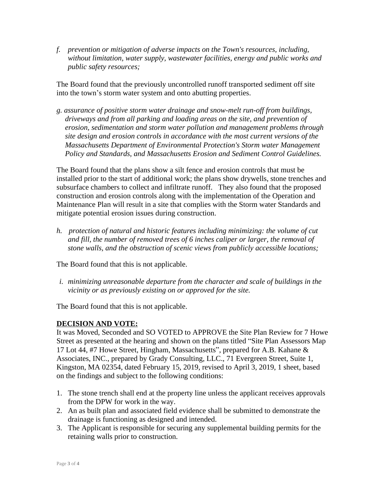*f. prevention or mitigation of adverse impacts on the Town's resources, including, without limitation, water supply, wastewater facilities, energy and public works and public safety resources;*

The Board found that the previously uncontrolled runoff transported sediment off site into the town's storm water system and onto abutting properties.

*g. assurance of positive storm water drainage and snow-melt run-off from buildings, driveways and from all parking and loading areas on the site, and prevention of erosion, sedimentation and storm water pollution and management problems through site design and erosion controls in accordance with the most current versions of the Massachusetts Department of Environmental Protection's Storm water Management Policy and Standards, and Massachusetts Erosion and Sediment Control Guidelines.*

The Board found that the plans show a silt fence and erosion controls that must be installed prior to the start of additional work; the plans show drywells, stone trenches and subsurface chambers to collect and infiltrate runoff. They also found that the proposed construction and erosion controls along with the implementation of the Operation and Maintenance Plan will result in a site that complies with the Storm water Standards and mitigate potential erosion issues during construction.

*h. protection of natural and historic features including minimizing: the volume of cut and fill, the number of removed trees of 6 inches caliper or larger, the removal of stone walls, and the obstruction of scenic views from publicly accessible locations;*

The Board found that this is not applicable.

*i. minimizing unreasonable departure from the character and scale of buildings in the vicinity or as previously existing on or approved for the site.*

The Board found that this is not applicable.

# **DECISION AND VOTE:**

It was Moved, Seconded and SO VOTED to APPROVE the Site Plan Review for 7 Howe Street as presented at the hearing and shown on the plans titled "Site Plan Assessors Map 17 Lot 44, #7 Howe Street, Hingham, Massachusetts", prepared for A.B. Kahane & Associates, INC., prepared by Grady Consulting, LLC., 71 Evergreen Street, Suite 1, Kingston, MA 02354, dated February 15, 2019, revised to April 3, 2019, 1 sheet, based on the findings and subject to the following conditions:

- 1. The stone trench shall end at the property line unless the applicant receives approvals from the DPW for work in the way.
- 2. An as built plan and associated field evidence shall be submitted to demonstrate the drainage is functioning as designed and intended.
- 3. The Applicant is responsible for securing any supplemental building permits for the retaining walls prior to construction.